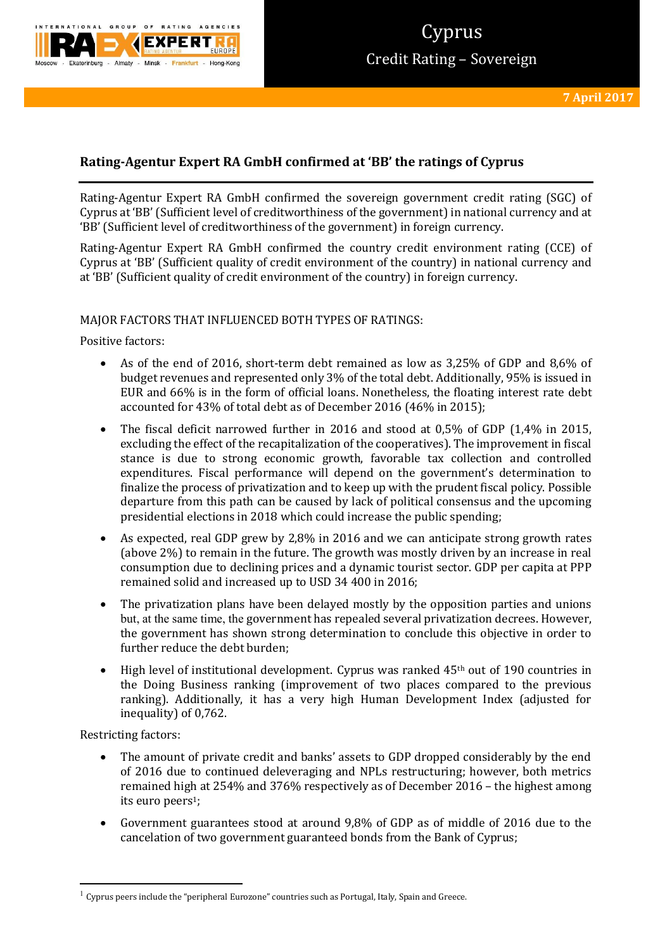

# **Rating-Agentur Expert RA GmbH confirmed at 'BB' the ratings of Cyprus**

Rating-Agentur Expert RA GmbH confirmed the sovereign government credit rating (SGC) of Cyprus at 'BB' (Sufficient level of creditworthiness of the government) in national currency and at 'BB' (Sufficient level of creditworthiness of the government) in foreign currency.

Rating-Agentur Expert RA GmbH confirmed the country credit environment rating (CCE) of Cyprus at 'BB' (Sufficient quality of credit environment of the country) in national currency and at 'BB' (Sufficient quality of credit environment of the country) in foreign currency.

# MAJOR FACTORS THAT INFLUENCED BOTH TYPES OF RATINGS:

Positive factors:

- As of the end of 2016, short-term debt remained as low as 3,25% of GDP and 8,6% of budget revenues and represented only 3% of the total debt. Additionally, 95% is issued in EUR and 66% is in the form of official loans. Nonetheless, the floating interest rate debt accounted for 43% of total debt as of December 2016 (46% in 2015);
- The fiscal deficit narrowed further in 2016 and stood at 0,5% of GDP (1,4% in 2015, excluding the effect of the recapitalization of the cooperatives). The improvement in fiscal stance is due to strong economic growth, favorable tax collection and controlled expenditures. Fiscal performance will depend on the government's determination to finalize the process of privatization and to keep up with the prudent fiscal policy. Possible departure from this path can be caused by lack of political consensus and the upcoming presidential elections in 2018 which could increase the public spending;
- As expected, real GDP grew by 2,8% in 2016 and we can anticipate strong growth rates (above 2%) to remain in the future. The growth was mostly driven by an increase in real consumption due to declining prices and a dynamic tourist sector. GDP per capita at PPP remained solid and increased up to USD 34 400 in 2016;
- The privatization plans have been delayed mostly by the opposition parties and unions but, at the same time, the government has repealed several privatization decrees. However, the government has shown strong determination to conclude this objective in order to further reduce the debt burden;
- High level of institutional development. Cyprus was ranked 45th out of 190 countries in the Doing Business ranking (improvement of two places compared to the previous ranking). Additionally, it has a very high Human Development Index (adjusted for inequality) of 0,762.

Restricting factors:

1

- The amount of private credit and banks' assets to GDP dropped considerably by the end of 2016 due to continued deleveraging and NPLs restructuring; however, both metrics remained high at 254% and 376% respectively as of December 2016 – the highest among its euro peers<sup>1</sup>;
- Government guarantees stood at around 9,8% of GDP as of middle of 2016 due to the cancelation of two government guaranteed bonds from the Bank of Cyprus;

 $1$  Cyprus peers include the "peripheral Eurozone" countries such as Portugal, Italy, Spain and Greece.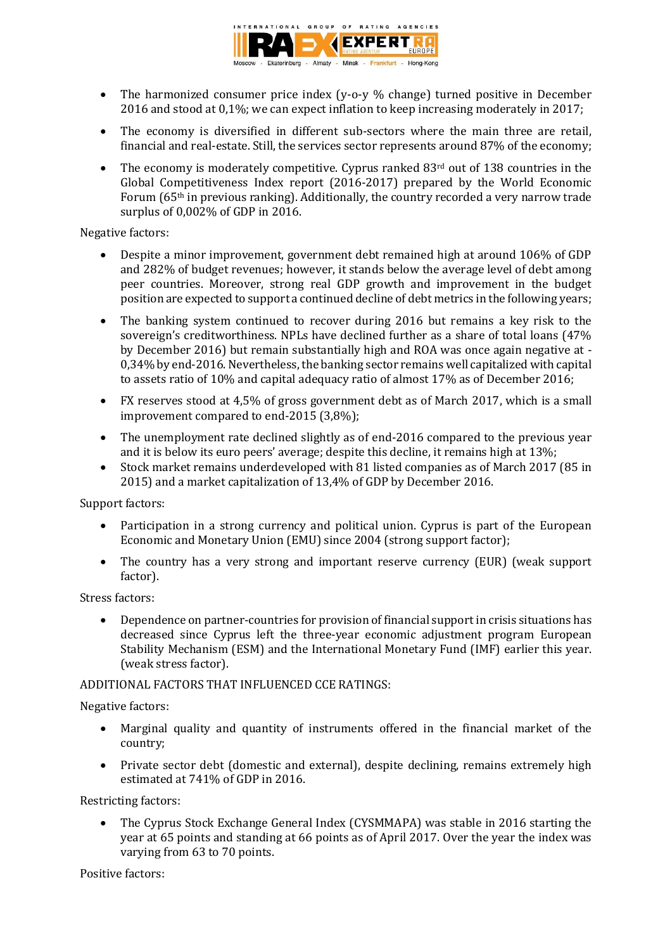

- The harmonized consumer price index (y-o-y % change) turned positive in December 2016 and stood at 0,1%; we can expect inflation to keep increasing moderately in 2017;
- The economy is diversified in different sub-sectors where the main three are retail, financial and real-estate. Still, the services sector represents around 87% of the economy;
- The economy is moderately competitive. Cyprus ranked  $83<sup>rd</sup>$  out of 138 countries in the Global Competitiveness Index report (2016-2017) prepared by the World Economic Forum (65th in previous ranking). Additionally, the country recorded a very narrow trade surplus of 0,002% of GDP in 2016.

# Negative factors:

- Despite a minor improvement, government debt remained high at around 106% of GDP and 282% of budget revenues; however, it stands below the average level of debt among peer countries. Moreover, strong real GDP growth and improvement in the budget position are expected to support a continued decline of debt metrics in the following years;
- The banking system continued to recover during 2016 but remains a key risk to the sovereign's creditworthiness. NPLs have declined further as a share of total loans (47% by December 2016) but remain substantially high and ROA was once again negative at - 0,34% by end-2016. Nevertheless, the banking sector remains well capitalized with capital to assets ratio of 10% and capital adequacy ratio of almost 17% as of December 2016;
- FX reserves stood at 4,5% of gross government debt as of March 2017, which is a small improvement compared to end-2015 (3,8%);
- The unemployment rate declined slightly as of end-2016 compared to the previous year and it is below its euro peers' average; despite this decline, it remains high at 13%;
- Stock market remains underdeveloped with 81 listed companies as of March 2017 (85 in 2015) and a market capitalization of 13,4% of GDP by December 2016.

Support factors:

- Participation in a strong currency and political union. Cyprus is part of the European Economic and Monetary Union (EMU) since 2004 (strong support factor);
- The country has a very strong and important reserve currency (EUR) (weak support factor).

### Stress factors:

 Dependence on partner-countries for provision of financial support in crisis situations has decreased since Cyprus left the three-year economic adjustment program European Stability Mechanism (ESM) and the International Monetary Fund (IMF) earlier this year. (weak stress factor).

# ADDITIONAL FACTORS THAT INFLUENCED CCE RATINGS:

# Negative factors:

- Marginal quality and quantity of instruments offered in the financial market of the country;
- Private sector debt (domestic and external), despite declining, remains extremely high estimated at 741% of GDP in 2016.

Restricting factors:

 The Cyprus Stock Exchange General Index (CYSMMAPA) was stable in 2016 starting the year at 65 points and standing at 66 points as of April 2017. Over the year the index was varying from 63 to 70 points.

Positive factors: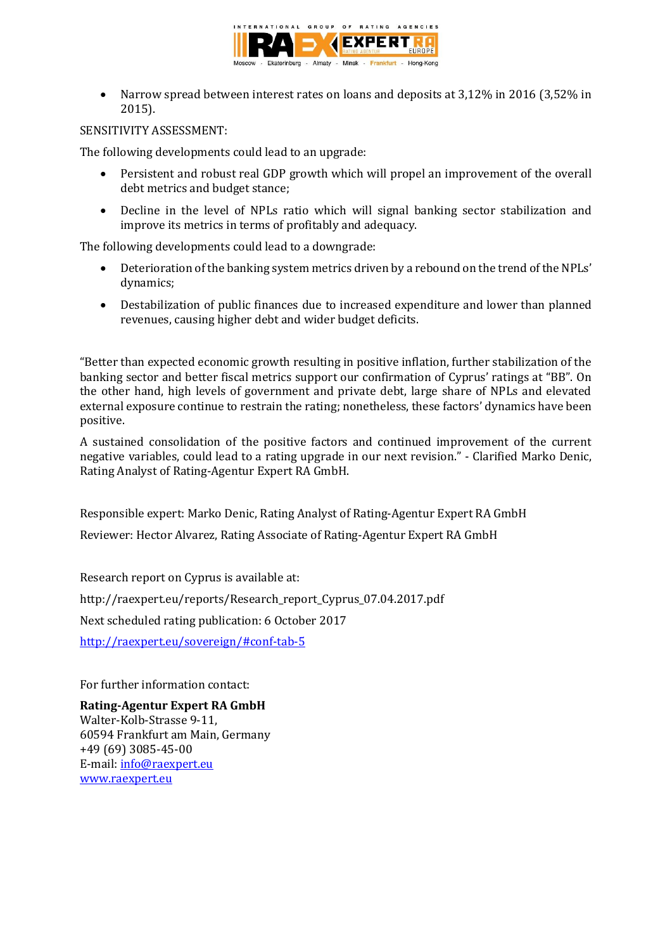

 Narrow spread between interest rates on loans and deposits at 3,12% in 2016 (3,52% in 2015).

# SENSITIVITY ASSESSMENT:

The following developments could lead to an upgrade:

- Persistent and robust real GDP growth which will propel an improvement of the overall debt metrics and budget stance;
- Decline in the level of NPLs ratio which will signal banking sector stabilization and improve its metrics in terms of profitably and adequacy.

The following developments could lead to a downgrade:

- Deterioration of the banking system metrics driven by a rebound on the trend of the NPLs' dynamics;
- Destabilization of public finances due to increased expenditure and lower than planned revenues, causing higher debt and wider budget deficits.

"Better than expected economic growth resulting in positive inflation, further stabilization of the banking sector and better fiscal metrics support our confirmation of Cyprus' ratings at "BB". On the other hand, high levels of government and private debt, large share of NPLs and elevated external exposure continue to restrain the rating; nonetheless, these factors' dynamics have been positive.

A sustained consolidation of the positive factors and continued improvement of the current negative variables, could lead to a rating upgrade in our next revision." - Clarified Marko Denic, Rating Analyst of Rating-Agentur Expert RA GmbH.

Responsible expert: Marko Denic, Rating Analyst of Rating-Agentur Expert RA GmbH Reviewer: Hector Alvarez, Rating Associate of Rating-Agentur Expert RA GmbH

Research report on Cyprus is available at: http://raexpert.eu/reports/Research\_report\_Cyprus\_07.04.2017.pdf Next scheduled rating publication: 6 October 2017

[http://raexpert.eu/sovereign/#conf-tab-5](http://raexpert.eu/sovereign/%23conf-tab-5)

For further information contact:

**Rating-Agentur Expert RA GmbH**

Walter-Kolb-Strasse 9-11, 60594 Frankfurt am Main, Germany +49 (69) 3085-45-00 E-mail[: info@raexpert.eu](mailto:info@raexpert.eu) [www.raexpert.eu](http://raexpert.eu/)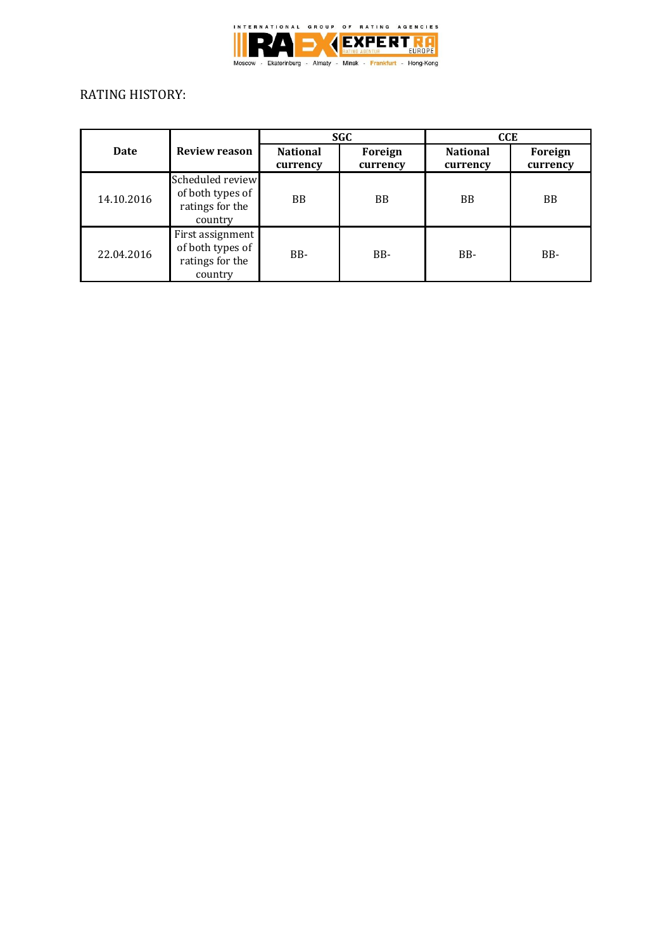

# RATING HISTORY:

|            |                                                                    | <b>SGC</b>                  |                     | <b>CCE</b>                  |                     |
|------------|--------------------------------------------------------------------|-----------------------------|---------------------|-----------------------------|---------------------|
| Date       | <b>Review reason</b>                                               | <b>National</b><br>currency | Foreign<br>currency | <b>National</b><br>currency | Foreign<br>currency |
| 14.10.2016 | Scheduled review<br>of both types of<br>ratings for the<br>country | <b>BB</b>                   | <b>BB</b>           | <b>BB</b>                   | <b>BB</b>           |
| 22.04.2016 | First assignment<br>of both types of<br>ratings for the<br>country | B <sub>B</sub> -            | B <sub>B</sub> -    | BB-                         | BB-                 |